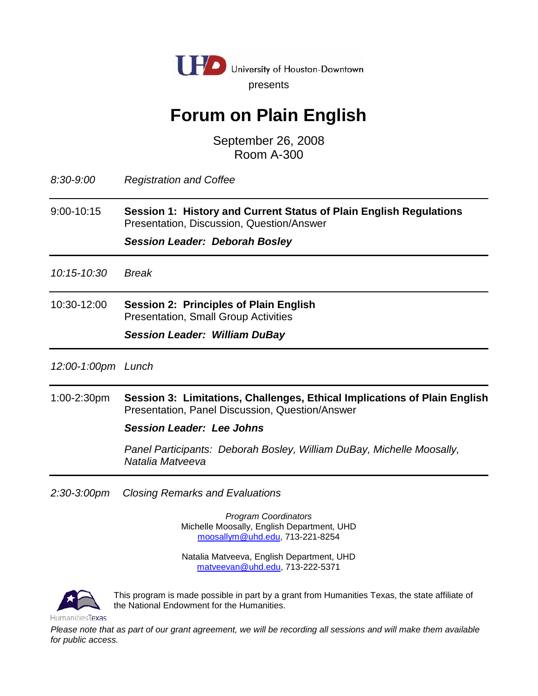

# **Forum on Plain English**

September 26, 2008 Room A-300

*8:30-9:00 Registration and Coffee*

9:00-10:15 **Session 1: History and Current Status of Plain English Regulations** Presentation, Discussion, Question/Answer

*Session Leader: Deborah Bosley*

*10:15-10:30 Break*

10:30-12:00 **Session 2: Principles of Plain English** Presentation, Small Group Activities

*Session Leader: William DuBay*

*12:00-1:00pm Lunch* 

1:00-2:30pm **Session 3: Limitations, Challenges, Ethical Implications of Plain English** Presentation, Panel Discussion, Question/Answer

## *Session Leader: Lee Johns*

 *Panel Participants: Deborah Bosley, William DuBay, Michelle Moosally, Natalia Matveeva*

*2:30-3:00pm Closing Remarks and Evaluations*

*Program Coordinators* Michelle Moosally, English Department, UHD [moosallym@uhd.edu,](mailto:moosallym@uhd.edu) 713-221-8254

Natalia Matveeva, English Department, UHD [matveevan@uhd.edu,](mailto:matveevan@uhd.edu) 713-222-5371



This program is made possible in part by a grant from Humanities Texas, the state affiliate of the National Endowment for the Humanities.

*Please note that as part of our grant agreement, we will be recording all sessions and will make them available for public access.*